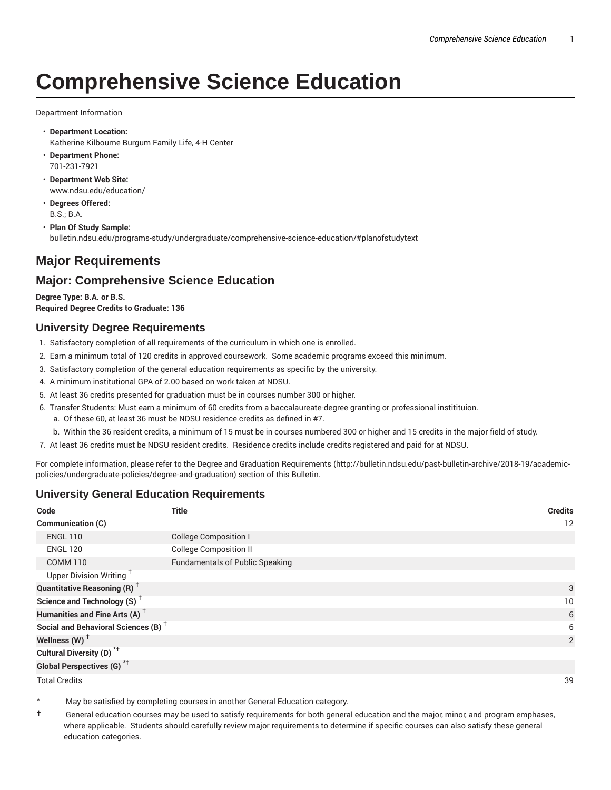# **Comprehensive Science Education**

#### Department Information

- **Department Location:** Katherine Kilbourne Burgum Family Life, 4-H Center
- **Department Phone:** 701-231-7921
- **Department Web Site:** www.ndsu.edu/education/
- **Degrees Offered:** B.S.; B.A.
- **Plan Of Study Sample:** bulletin.ndsu.edu/programs-study/undergraduate/comprehensive-science-education/#planofstudytext

## **Major Requirements**

## **Major: Comprehensive Science Education**

**Degree Type: B.A. or B.S. Required Degree Credits to Graduate: 136**

#### **University Degree Requirements**

- 1. Satisfactory completion of all requirements of the curriculum in which one is enrolled.
- 2. Earn a minimum total of 120 credits in approved coursework. Some academic programs exceed this minimum.
- 3. Satisfactory completion of the general education requirements as specific by the university.
- 4. A minimum institutional GPA of 2.00 based on work taken at NDSU.
- 5. At least 36 credits presented for graduation must be in courses number 300 or higher.
- 6. Transfer Students: Must earn a minimum of 60 credits from a baccalaureate-degree granting or professional institituion.
	- a. Of these 60, at least 36 must be NDSU residence credits as defined in #7.
	- b. Within the 36 resident credits, a minimum of 15 must be in courses numbered 300 or higher and 15 credits in the major field of study.
- 7. At least 36 credits must be NDSU resident credits. Residence credits include credits registered and paid for at NDSU.

For complete information, please refer to the Degree and Graduation Requirements (http://bulletin.ndsu.edu/past-bulletin-archive/2018-19/academicpolicies/undergraduate-policies/degree-and-graduation) section of this Bulletin.

#### **University General Education Requirements**

| Code                                            | <b>Title</b>                           | <b>Credits</b> |
|-------------------------------------------------|----------------------------------------|----------------|
| Communication (C)                               |                                        | 12             |
| <b>ENGL 110</b>                                 | <b>College Composition I</b>           |                |
| <b>ENGL 120</b>                                 | <b>College Composition II</b>          |                |
| <b>COMM 110</b>                                 | <b>Fundamentals of Public Speaking</b> |                |
| Upper Division Writing <sup>+</sup>             |                                        |                |
| <b>Quantitative Reasoning (R)</b> <sup>†</sup>  |                                        | 3              |
| Science and Technology (S) <sup>+</sup>         |                                        | 10             |
| Humanities and Fine Arts (A) <sup>+</sup>       |                                        | 6              |
| Social and Behavioral Sciences (B) <sup>+</sup> |                                        | 6              |
| Wellness $(W)$ <sup>+</sup>                     |                                        | 2              |
| Cultural Diversity (D) <sup>*†</sup>            |                                        |                |
| <b>Global Perspectives (G)</b> * <sup>+</sup>   |                                        |                |

Total Credits 39

May be satisfied by completing courses in another General Education category.

† General education courses may be used to satisfy requirements for both general education and the major, minor, and program emphases, where applicable. Students should carefully review major requirements to determine if specific courses can also satisfy these general education categories.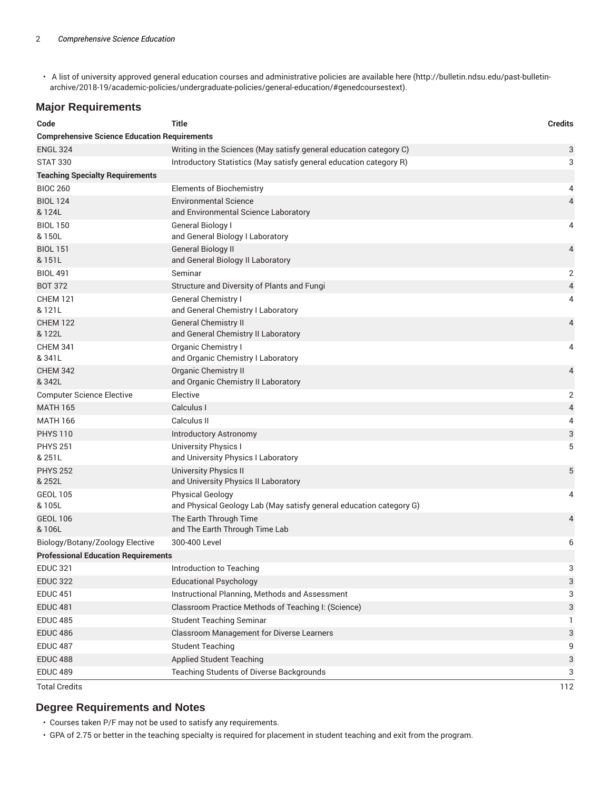• A list of university approved general education courses and administrative policies are available here (http://bulletin.ndsu.edu/past-bulletinarchive/2018-19/academic-policies/undergraduate-policies/general-education/#genedcoursestext).

#### **Major Requirements**

| Code                                                | Title                                                                | <b>Credits</b>           |  |
|-----------------------------------------------------|----------------------------------------------------------------------|--------------------------|--|
| <b>Comprehensive Science Education Requirements</b> |                                                                      |                          |  |
| <b>ENGL 324</b>                                     | Writing in the Sciences (May satisfy general education category C)   | 3                        |  |
| <b>STAT 330</b>                                     | Introductory Statistics (May satisfy general education category R)   | 3                        |  |
| <b>Teaching Specialty Requirements</b>              |                                                                      |                          |  |
| <b>BIOC 260</b>                                     | <b>Elements of Biochemistry</b>                                      | 4                        |  |
| <b>BIOL 124</b>                                     | <b>Environmental Science</b>                                         | 4                        |  |
| & 124L                                              | and Environmental Science Laboratory                                 |                          |  |
| <b>BIOL 150</b>                                     | General Biology I                                                    | 4                        |  |
| & 150L                                              | and General Biology I Laboratory                                     |                          |  |
| <b>BIOL 151</b><br>& 151L                           | <b>General Biology II</b><br>and General Biology II Laboratory       | 4                        |  |
| <b>BIOL 491</b>                                     | Seminar                                                              | 2                        |  |
| <b>BOT 372</b>                                      | Structure and Diversity of Plants and Fungi                          | $\overline{\mathcal{A}}$ |  |
| <b>CHEM 121</b>                                     | General Chemistry I                                                  | 4                        |  |
| & 121L                                              | and General Chemistry I Laboratory                                   |                          |  |
| <b>CHEM 122</b>                                     | <b>General Chemistry II</b>                                          | 4                        |  |
| & 122L                                              | and General Chemistry II Laboratory                                  |                          |  |
| <b>CHEM 341</b>                                     | Organic Chemistry I                                                  | 4                        |  |
| & 341L                                              | and Organic Chemistry I Laboratory                                   |                          |  |
| <b>CHEM 342</b><br>& 342L                           | Organic Chemistry II<br>and Organic Chemistry II Laboratory          | 4                        |  |
| <b>Computer Science Elective</b>                    | Elective                                                             | 2                        |  |
| <b>MATH 165</b>                                     | Calculus I                                                           | 4                        |  |
| <b>MATH 166</b>                                     | Calculus II                                                          | 4                        |  |
| <b>PHYS 110</b>                                     | <b>Introductory Astronomy</b>                                        | 3                        |  |
| <b>PHYS 251</b>                                     | <b>University Physics I</b>                                          | 5                        |  |
| & 251L                                              | and University Physics I Laboratory                                  |                          |  |
| <b>PHYS 252</b><br>& 252L                           | <b>University Physics II</b><br>and University Physics II Laboratory | 5                        |  |
| <b>GEOL 105</b>                                     | <b>Physical Geology</b>                                              | 4                        |  |
| & 105L                                              | and Physical Geology Lab (May satisfy general education category G)  |                          |  |
| <b>GEOL 106</b><br>& 106L                           | The Earth Through Time<br>and The Earth Through Time Lab             | 4                        |  |
| Biology/Botany/Zoology Elective                     | 300-400 Level                                                        | 6                        |  |
| <b>Professional Education Requirements</b>          |                                                                      |                          |  |
| <b>EDUC 321</b>                                     | Introduction to Teaching                                             | 3                        |  |
| <b>EDUC 322</b>                                     | <b>Educational Psychology</b>                                        | 3                        |  |
| <b>EDUC 451</b>                                     | Instructional Planning, Methods and Assessment                       | 3                        |  |
| <b>EDUC 481</b>                                     | Classroom Practice Methods of Teaching I: (Science)                  | 3                        |  |
| <b>EDUC 485</b>                                     | <b>Student Teaching Seminar</b>                                      | 1                        |  |
| <b>EDUC 486</b>                                     | Classroom Management for Diverse Learners                            | 3                        |  |
| <b>EDUC 487</b>                                     | <b>Student Teaching</b>                                              | 9                        |  |
| <b>EDUC 488</b>                                     | <b>Applied Student Teaching</b>                                      | 3                        |  |
| <b>EDUC 489</b>                                     | Teaching Students of Diverse Backgrounds                             | 3                        |  |
| <b>Total Credits</b>                                |                                                                      | 112                      |  |

### **Degree Requirements and Notes**

• Courses taken P/F may not be used to satisfy any requirements.

• GPA of 2.75 or better in the teaching specialty is required for placement in student teaching and exit from the program.